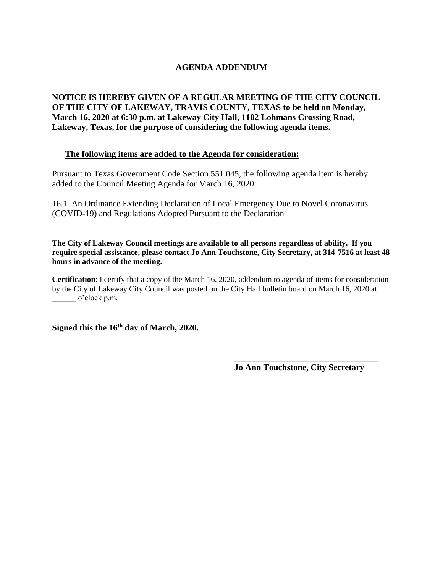## **AGENDA ADDENDUM**

**NOTICE IS HEREBY GIVEN OF A REGULAR MEETING OF THE CITY COUNCIL OF THE CITY OF LAKEWAY, TRAVIS COUNTY, TEXAS to be held on Monday, March 16, 2020 at 6:30 p.m. at Lakeway City Hall, 1102 Lohmans Crossing Road, Lakeway, Texas, for the purpose of considering the following agenda items.** 

## **The following items are added to the Agenda for consideration:**

Pursuant to Texas Government Code Section 551.045, the following agenda item is hereby added to the Council Meeting Agenda for March 16, 2020:

16.1 An Ordinance Extending Declaration of Local Emergency Due to Novel Coronavirus (COVID-19) and Regulations Adopted Pursuant to the Declaration

**The City of Lakeway Council meetings are available to all persons regardless of ability. If you require special assistance, please contact Jo Ann Touchstone, City Secretary, at 314-7516 at least 48 hours in advance of the meeting.**

**Certification**: I certify that a copy of the March 16, 2020, addendum to agenda of items for consideration by the City of Lakeway City Council was posted on the City Hall bulletin board on March 16, 2020 at o'clock p.m.

**Signed this the 16th day of March, 2020.**

**Jo Ann Touchstone, City Secretary**

**\_\_\_\_\_\_\_\_\_\_\_\_\_\_\_\_\_\_\_\_\_\_\_\_\_\_\_\_\_\_\_\_\_**